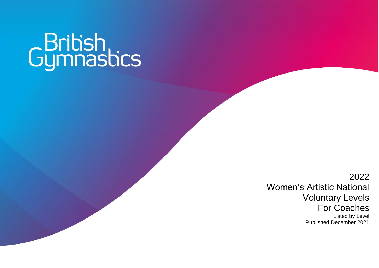# Gymnastics

2022 Women's Artistic National Voluntary Levels For Coaches Listed by Level Published December 2021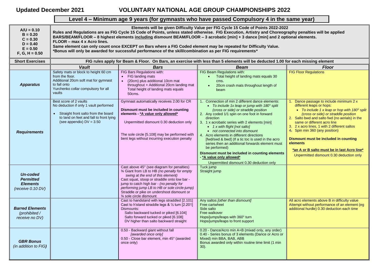# **Updated December 2021 VOLUNTARY NATIONAL AGE GROUP CHAMPIONSHIPS 2022**

# **Level 4 – Minimum age 9 years (for gymnasts who have passed Compulsory 4 in the same year)**

| $A/U = 0.10$<br>$B = 0.20$<br>$C = 0.30$<br>$D = 0.40$<br>$E = 0.50$<br>$F, G, H = 0.50$ | Elements will be given Difficulty Value per FIG Cycle 15 Code of Points 2022-2022<br>Rules and Regulations are as FIG Cycle 15 Code of Points, unless stated otherwise. FIG Execution, Artistry and Choreography penalties will be applied<br>BARS/BEAM/FLOOR - 8 highest elements including dismount BEAM/FLOOR - 3 acrobatic [min] + 3 dance [min] and 2 optional elements.<br>FLOOR - max 4 x Acro lines.<br>Same element can only count once EXCEPT on Bars where a FIG Coded element may be repeated for Difficulty Value.<br>*Bonus will only be awarded for successful performance of the skill/combination as per FIG requirements* |                                                                                                                                                                                                                                                                                                                                                         |                                                                                                                                                                                                                                                                                                                                                                                                                                                                                                                                                                                                                                        |                                                                                                                                                                                                                                                                                                                                                                                                                                                                                       |  |
|------------------------------------------------------------------------------------------|---------------------------------------------------------------------------------------------------------------------------------------------------------------------------------------------------------------------------------------------------------------------------------------------------------------------------------------------------------------------------------------------------------------------------------------------------------------------------------------------------------------------------------------------------------------------------------------------------------------------------------------------|---------------------------------------------------------------------------------------------------------------------------------------------------------------------------------------------------------------------------------------------------------------------------------------------------------------------------------------------------------|----------------------------------------------------------------------------------------------------------------------------------------------------------------------------------------------------------------------------------------------------------------------------------------------------------------------------------------------------------------------------------------------------------------------------------------------------------------------------------------------------------------------------------------------------------------------------------------------------------------------------------------|---------------------------------------------------------------------------------------------------------------------------------------------------------------------------------------------------------------------------------------------------------------------------------------------------------------------------------------------------------------------------------------------------------------------------------------------------------------------------------------|--|
| <b>Short Exercises</b>                                                                   |                                                                                                                                                                                                                                                                                                                                                                                                                                                                                                                                                                                                                                             |                                                                                                                                                                                                                                                                                                                                                         | FIG rules apply for Beam & Floor. On Bars, an exercise with less than 5 elements will be deducted 1.00 for each missing element                                                                                                                                                                                                                                                                                                                                                                                                                                                                                                        |                                                                                                                                                                                                                                                                                                                                                                                                                                                                                       |  |
|                                                                                          | <b>Vault</b>                                                                                                                                                                                                                                                                                                                                                                                                                                                                                                                                                                                                                                | <b>Bars</b>                                                                                                                                                                                                                                                                                                                                             | <b>Beam</b>                                                                                                                                                                                                                                                                                                                                                                                                                                                                                                                                                                                                                            | <b>Floor</b>                                                                                                                                                                                                                                                                                                                                                                                                                                                                          |  |
| <b>Apparatus</b>                                                                         | Safety mats or block to height 60 cm<br>from the floor.<br>Additional 20cm soft mat for gymnast<br>to fall onto<br>Yurchenko collar compulsory for all<br>vaults                                                                                                                                                                                                                                                                                                                                                                                                                                                                            | FIG Bars Regulations with:<br>FIG landing mats<br>(20cm) plus additional 10cm mat<br>throughout + Additional 20cm landing mat<br>Total height of landing mats equals<br>50cms.                                                                                                                                                                          | FIG Beam Regulations with:<br>Total height of landing mats equals 30<br>$\bullet$<br>cms.<br>20cm crash mats throughout length of<br>$\bullet$<br>beam                                                                                                                                                                                                                                                                                                                                                                                                                                                                                 | <b>FIG Floor Regulations</b>                                                                                                                                                                                                                                                                                                                                                                                                                                                          |  |
| <b>Requirements</b>                                                                      | Best score of 2 vaults<br>No deduction if only 1 vault performed<br>Straight front salto from the board<br>$\bullet$<br>to land on feet and fall to front lying<br>(see appendix) $DV = 3.50$                                                                                                                                                                                                                                                                                                                                                                                                                                               | Gymnast automatically receives 2.00 for CR<br>Dismount must be included in counting<br>elements - * A value only allowed*<br>Unpermitted dismount 0.30 deduction only<br>The sole circle [5.108] may be performed with<br>bent legs without incurring execution penalty                                                                                 | 1. Connection of min 2 different dance elements:<br>• To include 1x leap or jump with $180^\circ$ split<br>(cross or side) or straddle position<br>2. Any coded 1/1 spin on one foot in forward<br>direction<br>3. 1 x acrobatic series with 2 elements [min]<br>$\bullet$ 1 x with flight [not salto]<br>• not connected into dismount<br>4. Acro elements in different directions<br>[fwd/swd & bwd] (If a tic toc is used in the acro<br>series then an additional forwards element must<br>be performed)<br>Dismount must be included in counting elements<br>- *A value only allowed*<br>Unpermitted dismount 0.30 deduction only | 1. Dance passage to include minimum 2 x<br>different leaps or hops:<br>• To include 1 x leap or hop with $180^\circ$ split<br>(cross or side) or straddle position<br>2. Salto bwd and salto fwd (no aerials) in the<br>same or different acro line<br>3. 2 x acro lines, 1 with 2 different saltos<br>4. Spin min 360 (any position)<br>Dismount must be included in counting<br>elements<br>*an A or B salto must be in last Acro line*<br>Unpermitted dismount 0.30 deduction only |  |
| <b>Un-coded</b><br><b>Permitted</b><br><b>Elements</b><br>(receive 0.10 DV)              |                                                                                                                                                                                                                                                                                                                                                                                                                                                                                                                                                                                                                                             | Cast above 45° (see diagram for penalties)<br>3⁄4 Giant from LB to HB (no penalty for empty<br>swing at the end of this element)<br>Cast squat, stoop or straddle onto low bar -<br>jump to catch high bar - (no penalty for<br>performing jump LB to HB or sole circle-jump)<br>Straddle or pike on undershoot dismount or<br>3⁄4 sole circle dismount | Tuck jump<br>Straight jump                                                                                                                                                                                                                                                                                                                                                                                                                                                                                                                                                                                                             |                                                                                                                                                                                                                                                                                                                                                                                                                                                                                       |  |
| <b>Barred Elements</b><br>(prohibited /<br>receive no DV)                                |                                                                                                                                                                                                                                                                                                                                                                                                                                                                                                                                                                                                                                             | Cast to handstand with legs straddled [2.101]<br>Cast to h'stand straddle legs & 1/2 turn [2.201]<br>Dismounts:<br>Salto backward tucked or piked [6.104]<br>Salto forward tucked or piked [6.108]<br>DV higher than salto backward straight                                                                                                            | Any saltos [other than dismount]<br>Free cartwheel<br>Side salto<br>Free walkover<br>Hops/jumps/leaps with 360° turn<br>Hops/jumps/leaps to front support                                                                                                                                                                                                                                                                                                                                                                                                                                                                              | All acro elements above B in difficulty value<br>Attempt without performance of an element (eg)<br>additional hurdle) 0.30 deduction each time                                                                                                                                                                                                                                                                                                                                        |  |
| <b>GBR Bonus</b><br>(in addition to FIG)                                                 |                                                                                                                                                                                                                                                                                                                                                                                                                                                                                                                                                                                                                                             | 0.50 - Backward giant without fall<br>[awarded once only]<br>0.50 - Close bar element, min 45° (awarded<br>once only)                                                                                                                                                                                                                                   | 0.20 - Dance/Acro min A+B (mixed only, any order)<br>0.40 - Series bonus of 3 elements (Dance or Acro or<br>Mixed) min BBA, BAB, ABB<br>Bonus awarded only within routine time limit (1 min<br>$30$ ).                                                                                                                                                                                                                                                                                                                                                                                                                                 |                                                                                                                                                                                                                                                                                                                                                                                                                                                                                       |  |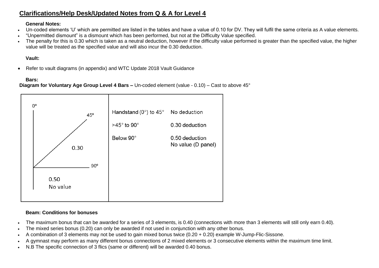# **Clarifications/Help Desk/Updated Notes from Q & A for Level 4**

#### **General Notes:**

- Un-coded elements 'U' which are permitted are listed in the tables and have a value of 0.10 for DV. They will fulfil the same criteria as A value elements.
- "Unpermitted dismount" is a dismount which has been performed, but not at the Difficulty Value specified.
- The penalty for this is 0.30 which is taken as a neutral deduction, however if the difficulty value performed is greater than the specified value, the higher value will be treated as the specified value and will also incur the 0.30 deduction.

## **Vault:**

• Refer to vault diagrams (in appendix) and WTC Update 2018 Vault Guidance

## **Bars:**

## **Diagram for Voluntary Age Group Level 4 Bars –** Un-coded element (value - 0.10) – Cast to above 45°



## **Beam: Conditions for bonuses**

- The maximum bonus that can be awarded for a series of 3 elements, is 0.40 (connections with more than 3 elements will still only earn 0.40).
- The mixed series bonus (0.20) can only be awarded if not used in conjunction with any other bonus.
- A combination of 3 elements may not be used to gain mixed bonus twice (0.20 + 0.20) example W-Jump-Flic-Sissone.
- A gymnast may perform as many different bonus connections of 2 mixed elements or 3 consecutive elements within the maximum time limit.
- N.B The specific connection of 3 flics (same or different) will be awarded 0.40 bonus.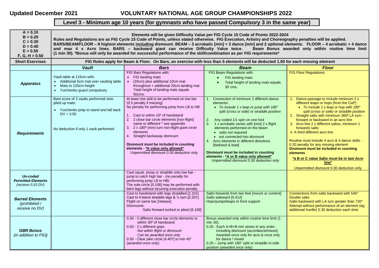# **Updated December 2021 VOLUNTARY NATIONAL AGE GROUP CHAMPIONSHIPS 2022**

# **Level 3 - Minimum age 10 years (for gymnasts who have passed Compulsory 3 in the same year)**

| $A = 0.10$<br>$B = 0.20$<br>$C = 0.30$<br>$D = 0.40$<br>$E = 0.50$<br>$F, G, H = 0.50$ | Elements will be given Difficulty Value per FIG Cycle 15 Code of Points 2022-2024<br>Rules and Regulations are as FIG Cycle 15 Code of Points, unless stated otherwise. FIG Execution, Artistry and Choreography penalties will be applied.<br>BARS/BEAM/FLOOR - 8 highest elements including dismount. BEAM - 3 acrobatic [min] + 3 dance [min] and 2 optional elements. FLOOR - 4 acrobatic + 4 dance<br>and max 4 x Acro lines. BARS - backward giant can receive Difficulty Value twice.<br>Beam Bonus awarded only within routine time limit<br>(1 min 30). *Bonus will only be awarded for successful performance of the skill/combination as per FIG requirements* |                                                                                                                                                                                                                                                                                                                                                                                                                                                                                         |                                                                                                                                                                                                                                                                                                                                                                                                                                                                                                                                     |                                                                                                                                                                                                                                                                                                                                                                                                                                                                                                                                                                                                                                |  |
|----------------------------------------------------------------------------------------|---------------------------------------------------------------------------------------------------------------------------------------------------------------------------------------------------------------------------------------------------------------------------------------------------------------------------------------------------------------------------------------------------------------------------------------------------------------------------------------------------------------------------------------------------------------------------------------------------------------------------------------------------------------------------|-----------------------------------------------------------------------------------------------------------------------------------------------------------------------------------------------------------------------------------------------------------------------------------------------------------------------------------------------------------------------------------------------------------------------------------------------------------------------------------------|-------------------------------------------------------------------------------------------------------------------------------------------------------------------------------------------------------------------------------------------------------------------------------------------------------------------------------------------------------------------------------------------------------------------------------------------------------------------------------------------------------------------------------------|--------------------------------------------------------------------------------------------------------------------------------------------------------------------------------------------------------------------------------------------------------------------------------------------------------------------------------------------------------------------------------------------------------------------------------------------------------------------------------------------------------------------------------------------------------------------------------------------------------------------------------|--|
| <b>Short Exercises</b>                                                                 | FIG Rules apply for Beam & Floor. On Bars, an exercise with less than 5 elements will be deducted 1.00 for each missing element                                                                                                                                                                                                                                                                                                                                                                                                                                                                                                                                           |                                                                                                                                                                                                                                                                                                                                                                                                                                                                                         |                                                                                                                                                                                                                                                                                                                                                                                                                                                                                                                                     |                                                                                                                                                                                                                                                                                                                                                                                                                                                                                                                                                                                                                                |  |
|                                                                                        | <b>Vault</b>                                                                                                                                                                                                                                                                                                                                                                                                                                                                                                                                                                                                                                                              | <b>Bars</b>                                                                                                                                                                                                                                                                                                                                                                                                                                                                             | <b>Beam</b>                                                                                                                                                                                                                                                                                                                                                                                                                                                                                                                         | <b>Floor</b>                                                                                                                                                                                                                                                                                                                                                                                                                                                                                                                                                                                                                   |  |
| <b>Apparatus</b>                                                                       | Vault table at 115cm with:<br>Additional 5cm mat over vaulting table<br>$\bullet$<br>Mats to 120cm height<br>• Yurchenko guard compulsory                                                                                                                                                                                                                                                                                                                                                                                                                                                                                                                                 | FIG Bars Regulations with:<br>FIG landing mats<br>(20cm) plus additional 10cm mat<br>$\bullet$<br>throughout + additional 20cm landing mat<br>Total height of landing mats equals<br>50cms.                                                                                                                                                                                                                                                                                             | FIG Beam Regulations with:<br>FIG landing mats<br>Total height of landing mats equals<br>$\bullet$<br>30 cms.                                                                                                                                                                                                                                                                                                                                                                                                                       | <b>FIG Floor Regulations</b>                                                                                                                                                                                                                                                                                                                                                                                                                                                                                                                                                                                                   |  |
| <b>Requirements</b>                                                                    | Best score of 2 vaults performed onto<br>piled up mats:<br>Yurchenko prep to stand and fall back<br>$DV = 3.50$<br>No deduction if only 1 vault performed                                                                                                                                                                                                                                                                                                                                                                                                                                                                                                                 | At least one skill to be performed on low bar<br>(0.5 penalty if missing)<br>No penalty for performing jump from LB to HB<br>1. Cast to within 10 <sup>o</sup> of handstand<br>2. 2 close bar circle elements [non-flight]<br>same or different * see appendix<br>3. 2 x 180° (min) turn non-flight giant circle<br>elements<br>4. Straight backaway dismount<br>Dismount must be included in counting<br>elements - *A value only allowed*<br>Unpermitted dismount 0.30 deduction only | Connection of minimum 2 different dance<br>elements:<br>• To include 1 x leap or jump with $180^\circ$<br>split (cross or side) or straddle position<br>2. Any coded 1/1 spin on one foot<br>3. 1 x acrobatic series with [min] 2 x flight<br>elements performed on the beam<br>· salto not required<br>• not connected into dismount<br>4. Acro elements in different directions<br>[fwd/swd & bwd]<br>Dismount must be included in counting<br>elements - *A or B value only allowed*<br>Unpermitted dismount 0.30 deduction only | 1. Dance passage to include minimum 2 x<br>different leaps or hops (from the CoP)<br>• To include 1 x leap or hop with $180^\circ$<br>split (cross or side) or straddle position<br>2. Straight salto with minimum 360° LA turn -<br>forward or backward in an acro line<br>3. Acro line 2 x different saltos, minimum 1<br>forwards salto<br>4. A third different acro line<br>Routine must include 4 acro & 4 dance skills -<br>0.20 penalty for any missing element<br>Dismount must be included in counting<br>elements<br>*a B or C value Salto must be in last Acro<br>line*<br>Unpermitted dismount 0.30 deduction only |  |
| <b>Un-coded</b><br><b>Permitted Elements</b><br>(receive 0.10 DV)                      |                                                                                                                                                                                                                                                                                                                                                                                                                                                                                                                                                                                                                                                                           | Cast squat, stoop or straddle onto low bar -<br>jump to catch high bar - (no penalty for<br>performing jump LB to HB)<br>The sole circle [5.108] may be performed with<br>bent legs without incurring execution penalty                                                                                                                                                                                                                                                                 |                                                                                                                                                                                                                                                                                                                                                                                                                                                                                                                                     |                                                                                                                                                                                                                                                                                                                                                                                                                                                                                                                                                                                                                                |  |
| <b>Barred Elements</b><br>(prohibited /<br>receive no DV)                              |                                                                                                                                                                                                                                                                                                                                                                                                                                                                                                                                                                                                                                                                           | Cast to handstand with legs straddled [2.101]<br>Cast to h'stand straddle legs & 1/2 turn [2.201]<br>Flight on same bar [release]<br>Dismounts:<br>Salto forward tucked or piked [6.108]                                                                                                                                                                                                                                                                                                | Salto forwards from two feet [mount or content]<br>Salto sideward [5.412]<br>Hops/jumps/leaps to front support                                                                                                                                                                                                                                                                                                                                                                                                                      | Connections from salto backward with 540°<br>Double salto<br>Salto backward with LA turn greater than 720°<br>Attempt without performance of an element (eg<br>additional hurdle) 0.30 deduction each time                                                                                                                                                                                                                                                                                                                                                                                                                     |  |
| <b>GBR Bonus</b><br>(in addition to FIG)                                               |                                                                                                                                                                                                                                                                                                                                                                                                                                                                                                                                                                                                                                                                           | 0.30 - 3 different close bar circle elements to<br>within 30° of handstand<br>0.50 - 2 x different grips<br>Not within flight or dismount<br>Can be awarded once only<br>0.50 - Clear pike circle [4.407] to min 45°<br>(awarded once only)                                                                                                                                                                                                                                             | Bonus awarded only within routine time limit (1)<br>min 30).<br>0.20 - Each A+B+B min series in any order,<br>including dismount (acro/dance/mixed)<br>Awarded once only for acro & once only<br>for dance / mixed<br>$0.20$ – Jump with 180 $^{\circ}$ split or straddle in-side<br>position (awarded once only)                                                                                                                                                                                                                   |                                                                                                                                                                                                                                                                                                                                                                                                                                                                                                                                                                                                                                |  |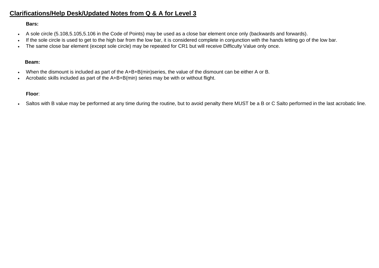# **Clarifications/Help Desk/Updated Notes from Q & A for Level 3**

#### **Bars:**

- A sole circle (5.108,5.105,5.106 in the Code of Points) may be used as a close bar element once only (backwards and forwards).
- If the sole circle is used to get to the high bar from the low bar, it is considered complete in conjunction with the hands letting go of the low bar.
- The same close bar element (except sole circle) may be repeated for CR1 but will receive Difficulty Value only once.

#### **Beam:**

- When the dismount is included as part of the A+B+B(min)series, the value of the dismount can be either A or B.
- Acrobatic skills included as part of the A+B+B(min) series may be with or without flight.

#### **Floor**:

• Saltos with B value may be performed at any time during the routine, but to avoid penalty there MUST be a B or C Salto performed in the last acrobatic line.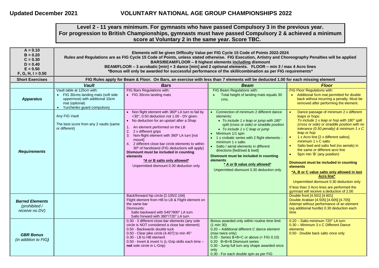#### **Level 2 - 11 years minimum. For gymnasts who have passed Compulsory 3 in the previous year. For progression to British Championships, gymnasts must have passed Compulsory 2 & achieved a minimum score at Voluntary 2 in the same year. Score TBC.**

| $A = 0.10$<br>$B = 0.20$<br>$C = 0.30$<br>$D = 0.40$<br>$E = 0.50$<br>$F, G, H, I = 0.50$ | Elements will be given Difficulty Value per FIG Cycle 15 Code of Points 2022-2024<br>Rules and Regulations are as FIG Cycle 15 Code of Points, unless stated otherwise. FIG Execution, Artistry and Choreography Penalties will be applied<br>BARS/BEAM/FLOOR - 8 highest elements including dismount<br>BEAM/FLOOR - 3 acrobatic [min] + 3 dance [min] and 2 optional elements. FLOOR - min 3 / max 4 Acro lines<br>*Bonus will only be awarded for successful performance of the skill/combination as per FIG requirements* |                                                                                                                                                                                                                                                                                                                                                                                                                                                                                                             |                                                                                                                                                                                                                                                                                                                                                                                                                                                                                                 |                                                                                                                                                                                                                                                                                                                                                                                                                                                                                                                                                                                                                                                                                   |  |
|-------------------------------------------------------------------------------------------|-------------------------------------------------------------------------------------------------------------------------------------------------------------------------------------------------------------------------------------------------------------------------------------------------------------------------------------------------------------------------------------------------------------------------------------------------------------------------------------------------------------------------------|-------------------------------------------------------------------------------------------------------------------------------------------------------------------------------------------------------------------------------------------------------------------------------------------------------------------------------------------------------------------------------------------------------------------------------------------------------------------------------------------------------------|-------------------------------------------------------------------------------------------------------------------------------------------------------------------------------------------------------------------------------------------------------------------------------------------------------------------------------------------------------------------------------------------------------------------------------------------------------------------------------------------------|-----------------------------------------------------------------------------------------------------------------------------------------------------------------------------------------------------------------------------------------------------------------------------------------------------------------------------------------------------------------------------------------------------------------------------------------------------------------------------------------------------------------------------------------------------------------------------------------------------------------------------------------------------------------------------------|--|
| <b>Short Exercises</b>                                                                    |                                                                                                                                                                                                                                                                                                                                                                                                                                                                                                                               | FIG Rules apply for Beam & Floor. On Bars, an exercise with less than 7 elements will be deducted 1.00 for each missing element                                                                                                                                                                                                                                                                                                                                                                             |                                                                                                                                                                                                                                                                                                                                                                                                                                                                                                 |                                                                                                                                                                                                                                                                                                                                                                                                                                                                                                                                                                                                                                                                                   |  |
|                                                                                           | <b>Vault</b>                                                                                                                                                                                                                                                                                                                                                                                                                                                                                                                  | <b>Bars</b>                                                                                                                                                                                                                                                                                                                                                                                                                                                                                                 | <b>Beam</b>                                                                                                                                                                                                                                                                                                                                                                                                                                                                                     | <b>Floor</b>                                                                                                                                                                                                                                                                                                                                                                                                                                                                                                                                                                                                                                                                      |  |
| <b>Apparatus</b>                                                                          | Vault table at 125cm with:<br>• FIG 30cms landing mats (soft side<br>uppermost) with additional 10cm<br>mat (optional)<br>• Yurchenko guard compulsory                                                                                                                                                                                                                                                                                                                                                                        | FIG Bars Regulations with:<br>• FIG 30cms landing mats                                                                                                                                                                                                                                                                                                                                                                                                                                                      | FIG Beam Regulations with:<br>Total height of landing mats equals 30<br>cms.                                                                                                                                                                                                                                                                                                                                                                                                                    | FIG Floor Regulations with:<br>• Additional 5cm mat permitted for double<br>back without incurring a penalty. Must be<br>removed after performing the element.                                                                                                                                                                                                                                                                                                                                                                                                                                                                                                                    |  |
| <b>Requirements</b>                                                                       | Any FIG Vault<br>The best score from any 2 vaults (same<br>or different)                                                                                                                                                                                                                                                                                                                                                                                                                                                      | • Non flight element with 360° LA turn to fail by<br><30°, 0.50 deduction not 1.00 - DV given.<br>• No deduction for an upstart after a Shap<br>1. An element performed on the LB<br>2. 2 x different grips<br>3. Non-flight element with 360° LA turn [not<br>mount]<br>4. 2 different close bar circle elements to within<br>30° of handstand (FIG deductions will apply)<br>Dismount must be included in counting<br>elements<br>*A or B salto only allowed*<br>Unpermitted dismount 0.30 deduction only | • Connection of minimum 2 different dance<br>elements:<br>• To include 1 x leap or jump with 180°<br>split (cross or side) or straddle position<br>• To include $1 \times C$ leap or jump<br>• Minimum 1/1 spin<br>• 1 x crobatic series with 2 flight elements -<br>minimum 1 x salto<br>• Salto / aerial elements in different<br>directions [fwd/swd & bwd]<br>Dismount must be included in counting<br>elements<br>* A or B value only allowed*<br>Unpermitted dismount 0.30 deduction only | Dance passage of minimum 2 x different<br>leaps or hops:<br>To include 1 x leap or hop with $180^\circ$ split<br>(cross or side) or straddle position with no<br>tolerance (0.50 penalty) & minimum 1 x C<br>leap or hop<br>1 x Acro line [2 x different saltos]<br>minimum $1 \times C$ salto<br>Salto bwd and salto fwd (no aerials) in<br>the same or different acro line<br>Spin min 'B' (any position)<br>$\bullet$<br>Dismount must be included in counting<br>elements<br>*A, B or C value salto only allowed in last<br>Acro line*<br>Unpermitted dismount 0.30 deduction only<br>If less than 3 Acro lines are performed the<br>gymnast will receive a deduction of 2.00 |  |
| <b>Barred Elements</b><br>(prohibited /<br>receive no DV)                                 |                                                                                                                                                                                                                                                                                                                                                                                                                                                                                                                               | Back/forward hip circle [2.105/2.104]<br>Flight element from HB to LB & Flight element on<br>the same bar<br>Dismounts:<br>Salto backward with 540°/900° LA turn<br>Salto forward with 360°/720° LA turn                                                                                                                                                                                                                                                                                                    |                                                                                                                                                                                                                                                                                                                                                                                                                                                                                                 | Double front [4.501] [4.601]<br>Double Arabian [4.505] [4.605] [4.705]<br>Attempt without performance of an element<br>(eg additional hurdle) 0.30 deduction each<br>time                                                                                                                                                                                                                                                                                                                                                                                                                                                                                                         |  |
| <b>GBR Bonus</b><br>(in addition to FIG)                                                  |                                                                                                                                                                                                                                                                                                                                                                                                                                                                                                                               | 0.30 - 3 different close-bar elements (any sole<br>circle is NOT considered a close bar element)<br>0.50 - Backwards double tuck<br>0.50 - Clear pike circle [4.407] to min 45°<br>0.30 - LB to HB element<br>0.50 - Invert & invert 1/2 (L-Grip skills each time -<br>not sole circle in L-Grip)                                                                                                                                                                                                           | Bonus awarded only within routine time limit<br>(1 min 30)<br>0.20 - Additional different C dance element<br>(max twice only)<br>$0.20$ - Series B+B+C or above (+ FIG 0.10)<br>0.20 B+B+B Dismount series<br>0.30 - Jump full turn any shape awarded once<br>only<br>0.30 - For each double spin as per FIG                                                                                                                                                                                    | 0.20 - Salto minimum 720° LA turn<br>0.30 - Minimum 3 x C Different Dance<br>elements<br>0.50 - Double back salto once only                                                                                                                                                                                                                                                                                                                                                                                                                                                                                                                                                       |  |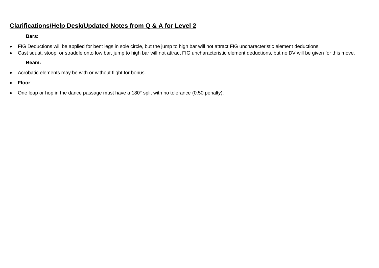# **Clarifications/Help Desk/Updated Notes from Q & A for Level 2**

#### **Bars:**

- FIG Deductions will be applied for bent legs in sole circle, but the jump to high bar will not attract FIG uncharacteristic element deductions.
- Cast squat, stoop, or straddle onto low bar, jump to high bar will not attract FIG uncharacteristic element deductions, but no DV will be given for this move.

## **Beam:**

- Acrobatic elements may be with or without flight for bonus.
- **Floor**:
- One leap or hop in the dance passage must have a 180° split with no tolerance (0.50 penalty).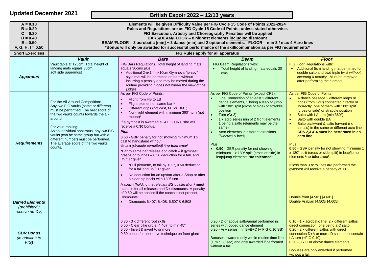| <b>Updated December 2021</b>                                                              |                                                                                                                                                                                                                                                                                                                                                                                                                                                                                                                                  | British Espoir 2022 - 12/13 years |                                                                                                                                                                                                                                                                                                                                                                                                                                                                                                                                                                                                                                                                                                                                                                                                                                                                                                                            |                                                                                                                                                                                                                                                                                                                                                                                                                                                                                                                |                                                                                                                                                                                                                                                                                                                                                                                                                                                                                                                                                                                                                                 |  |
|-------------------------------------------------------------------------------------------|----------------------------------------------------------------------------------------------------------------------------------------------------------------------------------------------------------------------------------------------------------------------------------------------------------------------------------------------------------------------------------------------------------------------------------------------------------------------------------------------------------------------------------|-----------------------------------|----------------------------------------------------------------------------------------------------------------------------------------------------------------------------------------------------------------------------------------------------------------------------------------------------------------------------------------------------------------------------------------------------------------------------------------------------------------------------------------------------------------------------------------------------------------------------------------------------------------------------------------------------------------------------------------------------------------------------------------------------------------------------------------------------------------------------------------------------------------------------------------------------------------------------|----------------------------------------------------------------------------------------------------------------------------------------------------------------------------------------------------------------------------------------------------------------------------------------------------------------------------------------------------------------------------------------------------------------------------------------------------------------------------------------------------------------|---------------------------------------------------------------------------------------------------------------------------------------------------------------------------------------------------------------------------------------------------------------------------------------------------------------------------------------------------------------------------------------------------------------------------------------------------------------------------------------------------------------------------------------------------------------------------------------------------------------------------------|--|
| $A = 0.10$<br>$B = 0.20$<br>$C = 0.30$<br>$D = 0.40$<br>$E = 0.50$<br>$F, G, H, I = 0.50$ | Elements will be given Difficulty Value per FIG Cycle 15 Code of Points 2022-2024<br>Rules and Regulations are as FIG Cycle 15 Code of Points, unless stated otherwise.<br>FIG Execution, Artistry and Choreography Penalties will be applied<br>BARS/BEAM/FLOOR - 8 highest elements including dismount<br>BEAM/FLOOR - 3 acrobatic [min] + 3 dance [min] and 2 optional elements. FLOOR - min 3 / max 4 Acro lines<br>*Bonus will only be awarded for successful performance of the skill/combination as per FIG requirements* |                                   |                                                                                                                                                                                                                                                                                                                                                                                                                                                                                                                                                                                                                                                                                                                                                                                                                                                                                                                            |                                                                                                                                                                                                                                                                                                                                                                                                                                                                                                                |                                                                                                                                                                                                                                                                                                                                                                                                                                                                                                                                                                                                                                 |  |
| <b>Short Exercises</b>                                                                    |                                                                                                                                                                                                                                                                                                                                                                                                                                                                                                                                  |                                   |                                                                                                                                                                                                                                                                                                                                                                                                                                                                                                                                                                                                                                                                                                                                                                                                                                                                                                                            | FIG Rules apply for all apparatus                                                                                                                                                                                                                                                                                                                                                                                                                                                                              |                                                                                                                                                                                                                                                                                                                                                                                                                                                                                                                                                                                                                                 |  |
| <b>Apparatus</b>                                                                          | <b>Vault</b><br>Vault table at 125cm. Total height of<br>landing mats equals 30cm.<br>soft side uppermost                                                                                                                                                                                                                                                                                                                                                                                                                        |                                   | <b>Bars</b><br>FIG Bars Regulations. Total height of landing mats<br>equals 30cms plus<br>• Additional 2mx1.4mx10cm Gymnova "jersey"<br>style mat will be permitted on bars without<br>incurring a penalty and may be moved during the<br>routine providing it does not hinder the view of the<br>judges.                                                                                                                                                                                                                                                                                                                                                                                                                                                                                                                                                                                                                  | <b>Beam</b><br>FIG Beam Regulations with:<br>Total height of landing mats equals 30<br>cms.                                                                                                                                                                                                                                                                                                                                                                                                                    | <b>Floor</b><br>FIG Floor Regulations with:<br>Additional 5cm landing mat permitted for<br>$\bullet$<br>double salto and bwd triple twist without<br>incurring a penalty. Must be removed<br>after performing the element.                                                                                                                                                                                                                                                                                                                                                                                                      |  |
| <b>Requirements</b>                                                                       | For the All-Around Competition: -<br>Any two FIG vaults (same or different)<br>must be performed. The best score of<br>the two vaults counts towards the all-<br>around.<br>For vault ranking:<br>As an individual apparatus, any two FIG<br>vaults (can be same group but with a<br>different number) must be performed.<br>The average score of the two vaults<br>counts.                                                                                                                                                      |                                   | As per FIG Code of Points:<br>Flight from HB to LB<br>Flight element on same bar *<br>Different grips (not cast, MT or DMT)<br>Non-flight element with minimum 360° turn (not<br>mount)*<br>If a gymnast is awarded all 4 FIG CRs, she will<br>receive a 0.30 bonus.<br><b>Plus</b><br>0.50 - GBR penalty for not showing minimum 1 x<br>cast to handstand without<br>1/2 turn (straddle permitted) *no tolerance*<br>*Bar to same bar release and catch - if gymnast<br>grasps or touches - 0.50 deduction for a fall, and<br>DV/CR given.<br>*Full pirouette, to fail by <30°, 0.50 deduction<br>for a fall and DV/CR given.<br>No deduction for an upstart after a Shap or after<br>$\bullet$<br>a clear hip hecht with 180 <sup>0</sup> turn.<br>A coach (holding the relevant BG qualification) must<br>stand in for all releases and D+ dismounts. A penalty<br>of 0.50 will be applied if the coach is not present. | As per FIG Code of Points (except CR2):<br>One Connection of at least 2 different<br>dance elements, 1 being a leap or jump<br>with 180° split (cross or side) or straddle<br>position<br>Turn (Gr 3)<br>$\bullet$<br>1 x acro series min of 2 flight elements<br>1 being a salto (elements may be the<br>same)<br>Acro elements in different directions<br>[fwd/swd & bwd]<br>Plus:<br>• 0.50 - GBR penalty for not showing<br>minimum 1 x 180° split (cross or side) in<br>leap/jump elements *no tolerance* | As per FIG Code of Points:<br>A dance passage 2 different leaps or<br>hops (from CoP) connected directly or<br>indirectly, one of them with 180° split<br>(cross or side) or straddle position<br>Salto with LA turn (min 360°)<br>Salto with double BA<br>Salto backward & salto forward (no<br>aerials) in the same or different acro line<br>CRS 2,3 & 4 must be performed in an<br>acro line<br>Plus:<br>0.50 - GBR penalty for not showing minimum 1<br>x 180° split (cross or side split) in leap/jump<br>elements *no tolerance*<br>If less than 3 acro lines are performed the<br>gymnast will receive a penalty of 1.0 |  |
| <b>Barred Elements</b><br>(prohibited /<br>receive no DV)                                 |                                                                                                                                                                                                                                                                                                                                                                                                                                                                                                                                  |                                   | Dismounts:<br>Dismounts 6.407, 6.408, 6.507 & 6.508                                                                                                                                                                                                                                                                                                                                                                                                                                                                                                                                                                                                                                                                                                                                                                                                                                                                        |                                                                                                                                                                                                                                                                                                                                                                                                                                                                                                                | Double front [4.501] [4.601]<br>Double Arabian [4.505] [4.605]                                                                                                                                                                                                                                                                                                                                                                                                                                                                                                                                                                  |  |
| <b>GBR Bonus</b><br>(in addition to<br>FIG                                                |                                                                                                                                                                                                                                                                                                                                                                                                                                                                                                                                  |                                   | 0.30 - 3 x different root skills<br>0.50 - Clear pike circle [4.407] to min 45°<br>0.50 - Invert & invert 1/2 or more<br>0.30 bonus for heel drive technique on front giant                                                                                                                                                                                                                                                                                                                                                                                                                                                                                                                                                                                                                                                                                                                                                | 0.20 - D or above salto/aerial performed in<br>series with coded dance element<br>0.20 - Any series min B+B+C (+ FIG 0.10 SB)<br>Bonuses awarded only within routine time limit<br>(1 min 30 sec) and only awarded if performed<br>without a fall.                                                                                                                                                                                                                                                             | 0.10 - 1 x acrobatic line [2 x different saltos<br>direct connection] one being a C salto<br>0.20 - 2 x different saltos with direct<br>connection D+A or more. D salto must contain<br>LA turn $(+FIG 0.10)$<br>0.20 - 3 x C or above dance elements<br>Bonuses are only awarded if performed<br>without a fall.                                                                                                                                                                                                                                                                                                               |  |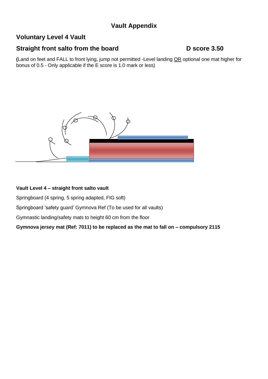# **Vault Appendix**

# **Voluntary Level 4 Vault**

# **Straight front salto from the board D** score 3.50

**(**Land on feet and FALL to front lying, jump not permitted -Level landing OR optional one mat higher for bonus of 0.5 - Only applicable if the E score is 1.0 mark or less)



#### **Vault Level 4 – straight front salto vault**

Springboard (4 spring, 5 spring adapted, FIG soft)

Springboard 'safety guard' Gymnova Ref (To be used for all vaults)

Gymnastic landing/safety mats to height 60 cm from the floor

**Gymnova jersey mat (Ref: 7011) to be replaced as the mat to fall on – compulsory 2115**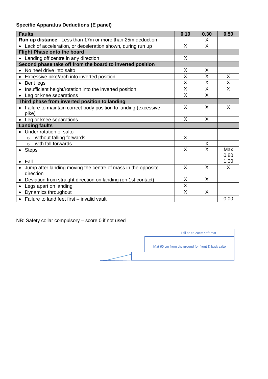# **Specific Apparatus Deductions (E panel)**

| <b>Faults</b>                                                             | 0.10     | 0.30                            | 0.50         |
|---------------------------------------------------------------------------|----------|---------------------------------|--------------|
| <b>Run up distance</b> Less than 17m or more than 25m deduction           |          | X                               |              |
| Lack of acceleration, or deceleration shown, during run up                | X        | X                               |              |
| <b>Flight Phase onto the board</b>                                        |          |                                 |              |
| Landing off centre in any direction                                       | X        |                                 |              |
| Second phase take off from the board to inverted position                 |          |                                 |              |
| No heel drive into salto                                                  | X        | X                               |              |
| Excessive pike/arch into inverted position<br>$\bullet$                   | X        | X                               | X            |
| Bent legs                                                                 | X        | X                               | X            |
| Insufficient height/rotation into the inverted position                   | X        | X                               | X            |
| Leg or knee separations<br>$\bullet$                                      | X        | X                               |              |
| Third phase from inverted position to landing                             |          |                                 |              |
| Failure to maintain correct body position to landing (excessive           | X        | X                               | X            |
| pike)                                                                     |          |                                 |              |
| Leg or knee separations                                                   | X        | X                               |              |
| <b>Landing faults</b>                                                     |          |                                 |              |
| Under rotation of salto                                                   |          |                                 |              |
| without falling forwards<br>$\Omega$                                      | X        |                                 |              |
| with fall forwards<br>$\Omega$                                            |          | $\frac{\mathsf{x}}{\mathsf{x}}$ |              |
| <b>Steps</b><br>$\bullet$                                                 | $\times$ |                                 | Max          |
|                                                                           |          |                                 | 0.80<br>1.00 |
| Fall                                                                      | X        | X                               | X            |
| Jump after landing moving the centre of mass in the opposite<br>direction |          |                                 |              |
| Deviation from straight direction on landing (on 1st contact)             | X        | X                               |              |
| Legs apart on landing<br>$\bullet$                                        | X        |                                 |              |
| Dynamics throughout<br>$\bullet$                                          | X        | $\sf X$                         |              |
| Failure to land feet first – invalid vault<br>$\bullet$                   |          |                                 | 0.00         |

NB: Safety collar compulsory – score 0 if not used

Fall on to 20cm soft mat Mat 60 cm from the ground for front & back salto